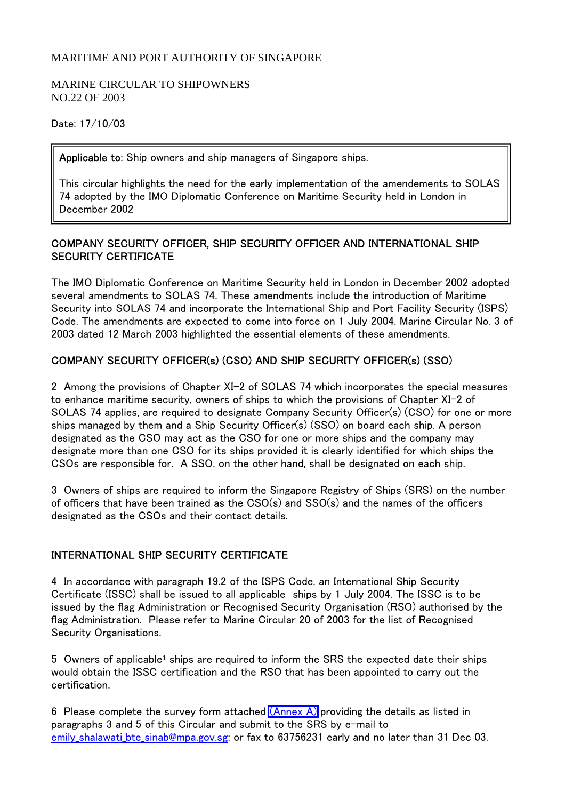## MARITIME AND PORT AUTHORITY OF SINGAPORE

#### MARINE CIRCULAR TO SHIPOWNERS NO.22 OF 2003

Date: 17/10/03

Applicable to: Ship owners and ship managers of Singapore ships.

This circular highlights the need for the early implementation of the amendements to SOLAS 74 adopted by the IMO Diplomatic Conference on Maritime Security held in London in December 2002

## COMPANY SECURITY OFFICER, SHIP SECURITY OFFICER AND INTERNATIONAL SHIP SECURITY CERTIFICATE

The IMO Diplomatic Conference on Maritime Security held in London in December 2002 adopted several amendments to SOLAS 74. These amendments include the introduction of Maritime Security into SOLAS 74 and incorporate the International Ship and Port Facility Security (ISPS) Code. The amendments are expected to come into force on 1 July 2004. Marine Circular No. 3 of 2003 dated 12 March 2003 highlighted the essential elements of these amendments.

# COMPANY SECURITY OFFICER(s) (CSO) AND SHIP SECURITY OFFICER(s) (SSO)

2 Among the provisions of Chapter XI-2 of SOLAS 74 which incorporates the special measures to enhance maritime security, owners of ships to which the provisions of Chapter XI-2 of SOLAS 74 applies, are required to designate Company Security Officer(s) (CSO) for one or more ships managed by them and a Ship Security Officer(s) (SSO) on board each ship. A person designated as the CSO may act as the CSO for one or more ships and the company may designate more than one CSO for its ships provided it is clearly identified for which ships the CSOs are responsible for. A SSO, on the other hand, shall be designated on each ship.

3 Owners of ships are required to inform the Singapore Registry of Ships (SRS) on the number of officers that have been trained as the CSO(s) and SSO(s) and the names of the officers designated as the CSOs and their contact details.

## INTERNATIONAL SHIP SECURITY CERTIFICATE

4 In accordance with paragraph 19.2 of the ISPS Code, an International Ship Security Certificate (ISSC) shall be issued to all applicable ships by 1 July 2004. The ISSC is to be issued by the flag Administration or Recognised Security Organisation (RSO) authorised by the flag Administration. Please refer to Marine Circular 20 of 2003 for the list of Recognised Security Organisations.

5 Owners of applicable<sup>1</sup> ships are required to inform the SRS the expected date their ships would obtain the ISSC certification and the RSO that has been appointed to carry out the certification.

6 Please complete the survey form attached  $(Annex A)$  providing the details as listed in paragraphs 3 and 5 of this Circular and submit to the SRS by e-mail to emily\_shalawati\_bte\_sinab@mpa.gov.sg: or fax to 63756231 early and no later than 31 Dec 03.